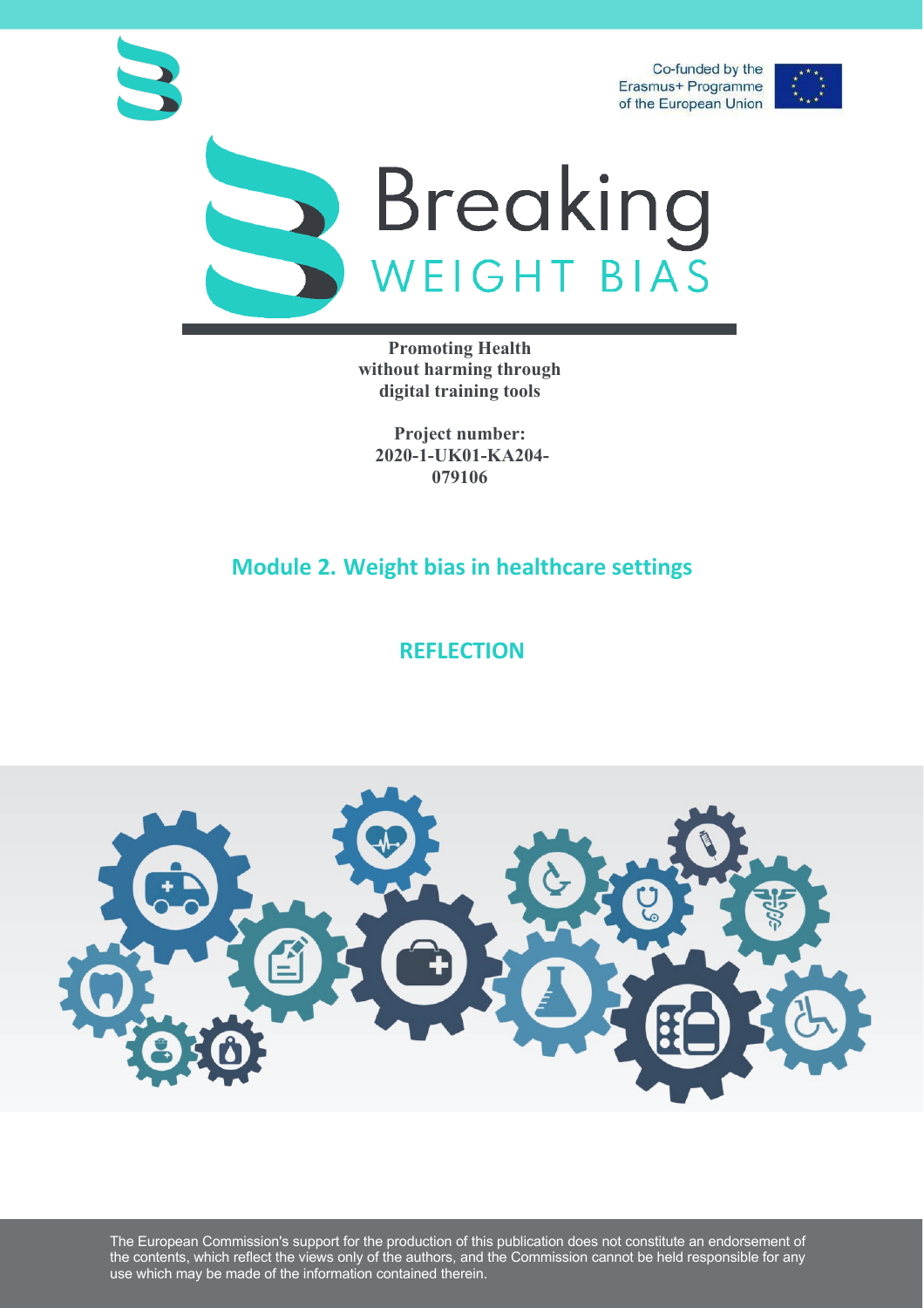



## Breaking<br>WEIGHT BIAS

**Promoting Health without harming through digital training tools**

**Project number: 2020-1-UK01-KA204- 079106**

## **Module 2. Weight bias in healthcare settings**

## **REFLECTION**



The European Commission's support for the production of this publication does not constitute an endorsement of the contents, which reflect the views only of the authors, and the Commission cannot be held responsible for any use which may be made of the information contained therein.